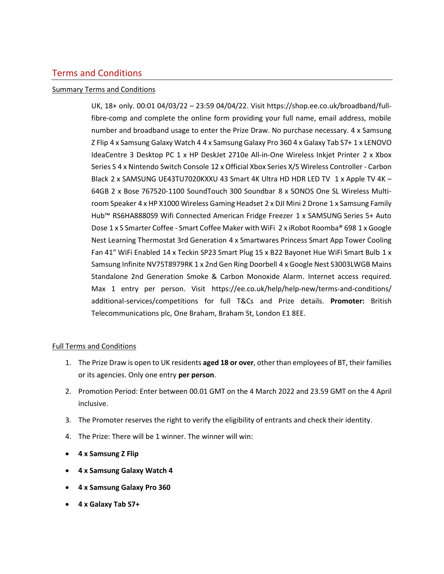## Terms and Conditions

## Summary Terms and Conditions

UK, 18+ only. 00:01 04/03/22 – 23:59 04/04/22. Visit [https://shop.ee.co.uk/broadband/full](https://nam02.safelinks.protection.outlook.com/?url=https%3A%2F%2Fshop.ee.co.uk%2Fbroadband%2Ffull-fibre-comp&data=04%7C01%7Cjackie.bee%40digitas.com%7C93c6c67864854aff667b08d9d6a15627%7Cd52c9ea17c2147b182a333a74b1f74b8%7C0%7C0%7C637776810853762202%7CUnknown%7CTWFpbGZsb3d8eyJWIjoiMC4wLjAwMDAiLCJQIjoiV2luMzIiLCJBTiI6Ik1haWwiLCJXVCI6Mn0%3D%7C3000&sdata=zM%2F54lB8HmRCj0F1R1kdvHrLUZ6h3PAfwj8Cxk9MbMo%3D&reserved=0)[fibre-comp](https://nam02.safelinks.protection.outlook.com/?url=https%3A%2F%2Fshop.ee.co.uk%2Fbroadband%2Ffull-fibre-comp&data=04%7C01%7Cjackie.bee%40digitas.com%7C93c6c67864854aff667b08d9d6a15627%7Cd52c9ea17c2147b182a333a74b1f74b8%7C0%7C0%7C637776810853762202%7CUnknown%7CTWFpbGZsb3d8eyJWIjoiMC4wLjAwMDAiLCJQIjoiV2luMzIiLCJBTiI6Ik1haWwiLCJXVCI6Mn0%3D%7C3000&sdata=zM%2F54lB8HmRCj0F1R1kdvHrLUZ6h3PAfwj8Cxk9MbMo%3D&reserved=0) and complete the online form providing your full name, email address, mobile number and broadband usage to enter the Prize Draw. No purchase necessary. 4 x Samsung Z Flip 4 x Samsung Galaxy Watch 4 4 x Samsung Galaxy Pro 360 4 x Galaxy Tab S7+ 1 x LENOVO IdeaCentre 3 Desktop PC 1 x HP DeskJet 2710e All-in-One Wireless Inkjet Printer 2 x Xbox Series S 4 x Nintendo Switch Console 12 x Official Xbox Series X/S Wireless Controller - Carbon Black 2 x SAMSUNG UE43TU7020KXXU 43 Smart 4K Ultra HD HDR LED TV 1 x Apple TV 4K – 64GB 2 x Bose 767520-1100 SoundTouch 300 Soundbar 8 x SONOS One SL Wireless Multiroom Speaker 4 x HP X1000 Wireless Gaming Headset 2 x DJI Mini 2 Drone 1 x Samsung Family Hub™ RS6HA8880S9 Wifi Connected American Fridge Freezer 1 x SAMSUNG Series 5+ Auto Dose 1 x S Smarter Coffee - Smart Coffee Maker with WiFi 2 x iRobot Roomba® 698 1 x Google Nest Learning Thermostat 3rd Generation 4 x Smartwares Princess Smart App Tower Cooling Fan 41" WiFi Enabled 14 x Teckin SP23 Smart Plug 15 x B22 Bayonet Hue WiFi Smart Bulb 1 x Samsung Infinite NV75T8979RK 1 x 2nd Gen Ring Doorbell 4 x Google Nest S3003LWGB Mains Standalone 2nd Generation Smoke & Carbon Monoxide Alarm. Internet access required. Max 1 entry per person. Visit [https://ee.co.uk/help/help-new/terms-and-conditions/](https://nam02.safelinks.protection.outlook.com/?url=https%3A%2F%2Fshop.ee.co.uk%2Fbroadband%2Ffull-fibre-comp&data=04%7C01%7Cjackie.bee%40digitas.com%7C93c6c67864854aff667b08d9d6a15627%7Cd52c9ea17c2147b182a333a74b1f74b8%7C0%7C0%7C637776810853762202%7CUnknown%7CTWFpbGZsb3d8eyJWIjoiMC4wLjAwMDAiLCJQIjoiV2luMzIiLCJBTiI6Ik1haWwiLCJXVCI6Mn0%3D%7C3000&sdata=zM%2F54lB8HmRCj0F1R1kdvHrLUZ6h3PAfwj8Cxk9MbMo%3D&reserved=0) additional-services/competitions for full T&Cs and Prize details. **Promoter:** British Telecommunications plc, One Braham, Braham St, London E1 8EE.

## Full Terms and Conditions

- 1. The Prize Draw is open to UK residents **aged 18 or over**, other than employees of BT, their families or its agencies. Only one entry **per person**.
- 2. Promotion Period: Enter between 00.01 GMT on the 4 March 2022 and 23.59 GMT on the 4 April inclusive.
- 3. The Promoter reserves the right to verify the eligibility of entrants and check their identity.
- 4. The Prize: There will be 1 winner. The winner will win:
- **4 x Samsung Z Flip**
- **4 x Samsung Galaxy Watch 4**
- **4 x Samsung Galaxy Pro 360**
- **4 x Galaxy Tab S7+**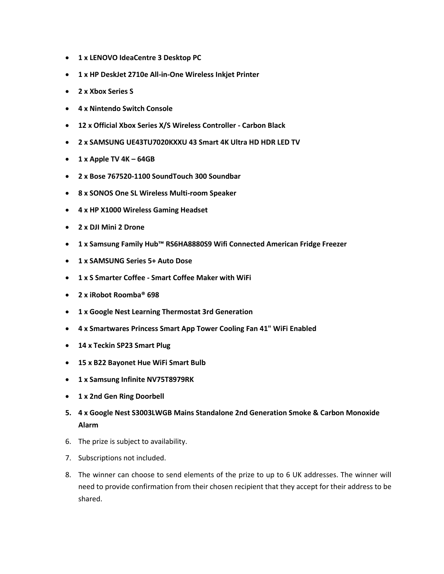- **1 x LENOVO IdeaCentre 3 Desktop PC**
- **1 x HP DeskJet 2710e All-in-One Wireless Inkjet Printer**
- **2 x Xbox Series S**
- **4 x Nintendo Switch Console**
- **12 x Official Xbox Series X/S Wireless Controller - Carbon Black**
- **2 x SAMSUNG UE43TU7020KXXU 43 Smart 4K Ultra HD HDR LED TV**
- **1 x Apple TV 4K – 64GB**
- **2 x Bose 767520-1100 SoundTouch 300 Soundbar**
- **8 x SONOS One SL Wireless Multi-room Speaker**
- **4 x HP X1000 Wireless Gaming Headset**
- **2 x DJI Mini 2 Drone**
- **1 x Samsung Family Hub™ RS6HA8880S9 Wifi Connected American Fridge Freezer**
- **1 x SAMSUNG Series 5+ Auto Dose**
- **1 x S Smarter Coffee - Smart Coffee Maker with WiFi**
- **2 x iRobot Roomba® 698**
- **1 x Google Nest Learning Thermostat 3rd Generation**
- **4 x Smartwares Princess Smart App Tower Cooling Fan 41" WiFi Enabled**
- **14 x Teckin SP23 Smart Plug**
- **15 x B22 Bayonet Hue WiFi Smart Bulb**
- **1 x Samsung Infinite NV75T8979RK**
- **1 x 2nd Gen Ring Doorbell**
- **5. 4 x Google Nest S3003LWGB Mains Standalone 2nd Generation Smoke & Carbon Monoxide Alarm**
- 6. The prize is subject to availability.
- 7. Subscriptions not included.
- 8. The winner can choose to send elements of the prize to up to 6 UK addresses. The winner will need to provide confirmation from their chosen recipient that they accept for their address to be shared.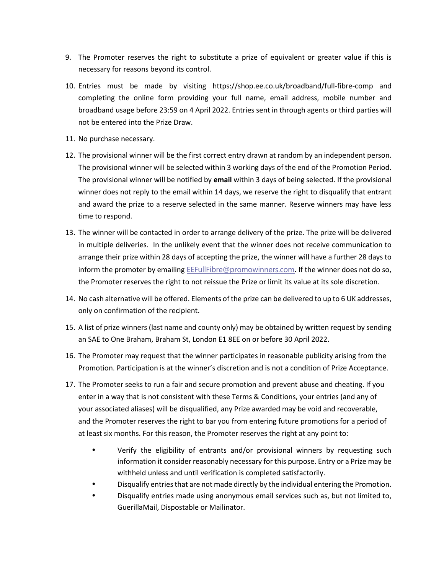- 9. The Promoter reserves the right to substitute a prize of equivalent or greater value if this is necessary for reasons beyond its control.
- 10. Entries must be made by visiting [https://shop.ee.co.uk/broadband/full-fibre-comp](https://nam02.safelinks.protection.outlook.com/?url=https%3A%2F%2Fshop.ee.co.uk%2Fbroadband%2Ffull-fibre-comp&data=04%7C01%7Cjackie.bee%40digitas.com%7C93c6c67864854aff667b08d9d6a15627%7Cd52c9ea17c2147b182a333a74b1f74b8%7C0%7C0%7C637776810853762202%7CUnknown%7CTWFpbGZsb3d8eyJWIjoiMC4wLjAwMDAiLCJQIjoiV2luMzIiLCJBTiI6Ik1haWwiLCJXVCI6Mn0%3D%7C3000&sdata=zM%2F54lB8HmRCj0F1R1kdvHrLUZ6h3PAfwj8Cxk9MbMo%3D&reserved=0) and completing the online form providing your full name, email address, mobile number and broadband usage before 23:59 on 4 April 2022. Entries sent in through agents or third parties will not be entered into the Prize Draw.
- 11. No purchase necessary.
- 12. The provisional winner will be the first correct entry drawn at random by an independent person. The provisional winner will be selected within 3 working days of the end of the Promotion Period. The provisional winner will be notified by **email** within 3 days of being selected. If the provisional winner does not reply to the email within 14 days, we reserve the right to disqualify that entrant and award the prize to a reserve selected in the same manner. Reserve winners may have less time to respond.
- 13. The winner will be contacted in order to arrange delivery of the prize. The prize will be delivered in multiple deliveries. In the unlikely event that the winner does not receive communication to arrange their prize within 28 days of accepting the prize, the winner will have a further 28 days to inform the promoter by emailing [EEFullFibre@promowinners.com](mailto:EEFullFibre@promowinners.com). If the winner does not do so, the Promoter reserves the right to not reissue the Prize or limit its value at its sole discretion.
- 14. No cash alternative will be offered. Elements of the prize can be delivered to up to 6 UK addresses, only on confirmation of the recipient.
- 15. A list of prize winners (last name and county only) may be obtained by written request by sending an SAE to One Braham, Braham St, London E1 8EE on or before 30 April 2022.
- 16. The Promoter may request that the winner participates in reasonable publicity arising from the Promotion. Participation is at the winner's discretion and is not a condition of Prize Acceptance.
- 17. The Promoter seeks to run a fair and secure promotion and prevent abuse and cheating. If you enter in a way that is not consistent with these Terms & Conditions, your entries (and any of your associated aliases) will be disqualified, any Prize awarded may be void and recoverable, and the Promoter reserves the right to bar you from entering future promotions for a period of at least six months. For this reason, the Promoter reserves the right at any point to:
	- Verify the eligibility of entrants and/or provisional winners by requesting such information it consider reasonably necessary for this purpose. Entry or a Prize may be withheld unless and until verification is completed satisfactorily.
	- Disqualify entries that are not made directly by the individual entering the Promotion.
	- Disqualify entries made using anonymous email services such as, but not limited to, GuerillaMail, Dispostable or Mailinator.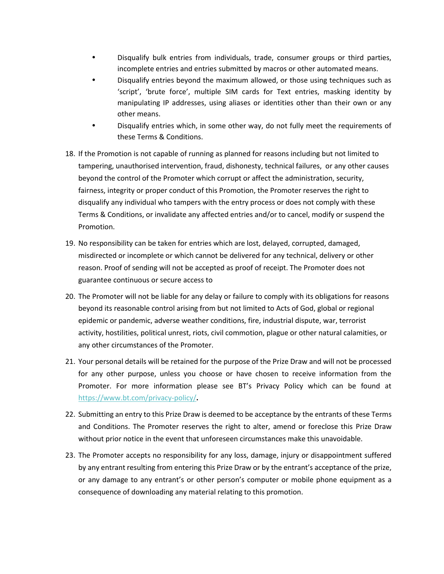- Disqualify bulk entries from individuals, trade, consumer groups or third parties, incomplete entries and entries submitted by macros or other automated means.
- Disqualify entries beyond the maximum allowed, or those using techniques such as 'script', 'brute force', multiple SIM cards for Text entries, masking identity by manipulating IP addresses, using aliases or identities other than their own or any other means.
- Disqualify entries which, in some other way, do not fully meet the requirements of these Terms & Conditions.
- 18. If the Promotion is not capable of running as planned for reasons including but not limited to tampering, unauthorised intervention, fraud, dishonesty, technical failures, or any other causes beyond the control of the Promoter which corrupt or affect the administration, security, fairness, integrity or proper conduct of this Promotion, the Promoter reserves the right to disqualify any individual who tampers with the entry process or does not comply with these Terms & Conditions, or invalidate any affected entries and/or to cancel, modify or suspend the Promotion.
- 19. No responsibility can be taken for entries which are lost, delayed, corrupted, damaged, misdirected or incomplete or which cannot be delivered for any technical, delivery or other reason. Proof of sending will not be accepted as proof of receipt. The Promoter does not guarantee continuous or secure access to
- 20. The Promoter will not be liable for any delay or failure to comply with its obligations for reasons beyond its reasonable control arising from but not limited to Acts of God, global or regional epidemic or pandemic, adverse weather conditions, fire, industrial dispute, war, terrorist activity, hostilities, political unrest, riots, civil commotion, plague or other natural calamities, or any other circumstances of the Promoter.
- 21. Your personal details will be retained for the purpose of the Prize Draw and will not be processed for any other purpose, unless you choose or have chosen to receive information from the Promoter. For more information please see BT's Privacy Policy which can be found at <https://www.bt.com/privacy-policy/>**.**
- 22. Submitting an entry to this Prize Draw is deemed to be acceptance by the entrants of these Terms and Conditions. The Promoter reserves the right to alter, amend or foreclose this Prize Draw without prior notice in the event that unforeseen circumstances make this unavoidable.
- 23. The Promoter accepts no responsibility for any loss, damage, injury or disappointment suffered by any entrant resulting from entering this Prize Draw or by the entrant's acceptance of the prize, or any damage to any entrant's or other person's computer or mobile phone equipment as a consequence of downloading any material relating to this promotion.